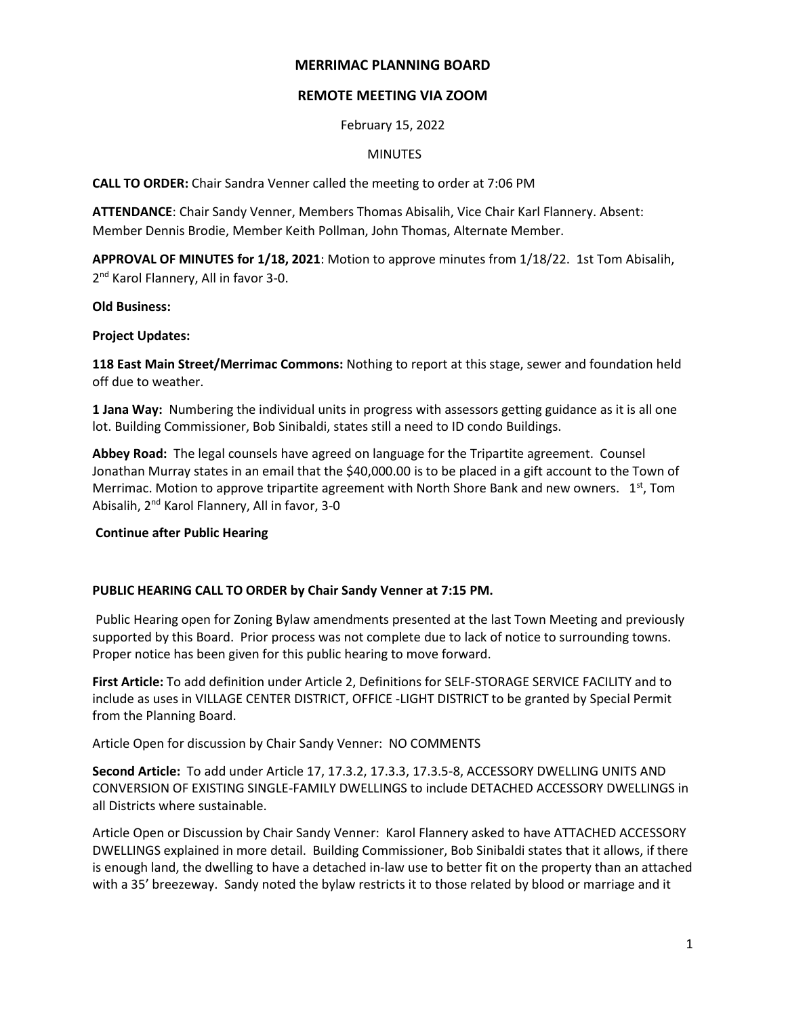## **MERRIMAC PLANNING BOARD**

# **REMOTE MEETING VIA ZOOM**

February 15, 2022

## MINUTES

**CALL TO ORDER:** Chair Sandra Venner called the meeting to order at 7:06 PM

**ATTENDANCE**: Chair Sandy Venner, Members Thomas Abisalih, Vice Chair Karl Flannery. Absent: Member Dennis Brodie, Member Keith Pollman, John Thomas, Alternate Member.

**APPROVAL OF MINUTES for 1/18, 2021**: Motion to approve minutes from 1/18/22. 1st Tom Abisalih, 2<sup>nd</sup> Karol Flannery, All in favor 3-0.

## **Old Business:**

## **Project Updates:**

**118 East Main Street/Merrimac Commons:** Nothing to report at this stage, sewer and foundation held off due to weather.

**1 Jana Way:** Numbering the individual units in progress with assessors getting guidance as it is all one lot. Building Commissioner, Bob Sinibaldi, states still a need to ID condo Buildings.

**Abbey Road:** The legal counsels have agreed on language for the Tripartite agreement. Counsel Jonathan Murray states in an email that the \$40,000.00 is to be placed in a gift account to the Town of Merrimac. Motion to approve tripartite agreement with North Shore Bank and new owners.  $1<sup>st</sup>$ , Tom Abisalih, 2nd Karol Flannery, All in favor, 3-0

# **Continue after Public Hearing**

#### **PUBLIC HEARING CALL TO ORDER by Chair Sandy Venner at 7:15 PM.**

Public Hearing open for Zoning Bylaw amendments presented at the last Town Meeting and previously supported by this Board. Prior process was not complete due to lack of notice to surrounding towns. Proper notice has been given for this public hearing to move forward.

**First Article:** To add definition under Article 2, Definitions for SELF-STORAGE SERVICE FACILITY and to include as uses in VILLAGE CENTER DISTRICT, OFFICE -LIGHT DISTRICT to be granted by Special Permit from the Planning Board.

Article Open for discussion by Chair Sandy Venner: NO COMMENTS

**Second Article:** To add under Article 17, 17.3.2, 17.3.3, 17.3.5-8, ACCESSORY DWELLING UNITS AND CONVERSION OF EXISTING SINGLE-FAMILY DWELLINGS to include DETACHED ACCESSORY DWELLINGS in all Districts where sustainable.

Article Open or Discussion by Chair Sandy Venner: Karol Flannery asked to have ATTACHED ACCESSORY DWELLINGS explained in more detail. Building Commissioner, Bob Sinibaldi states that it allows, if there is enough land, the dwelling to have a detached in-law use to better fit on the property than an attached with a 35' breezeway. Sandy noted the bylaw restricts it to those related by blood or marriage and it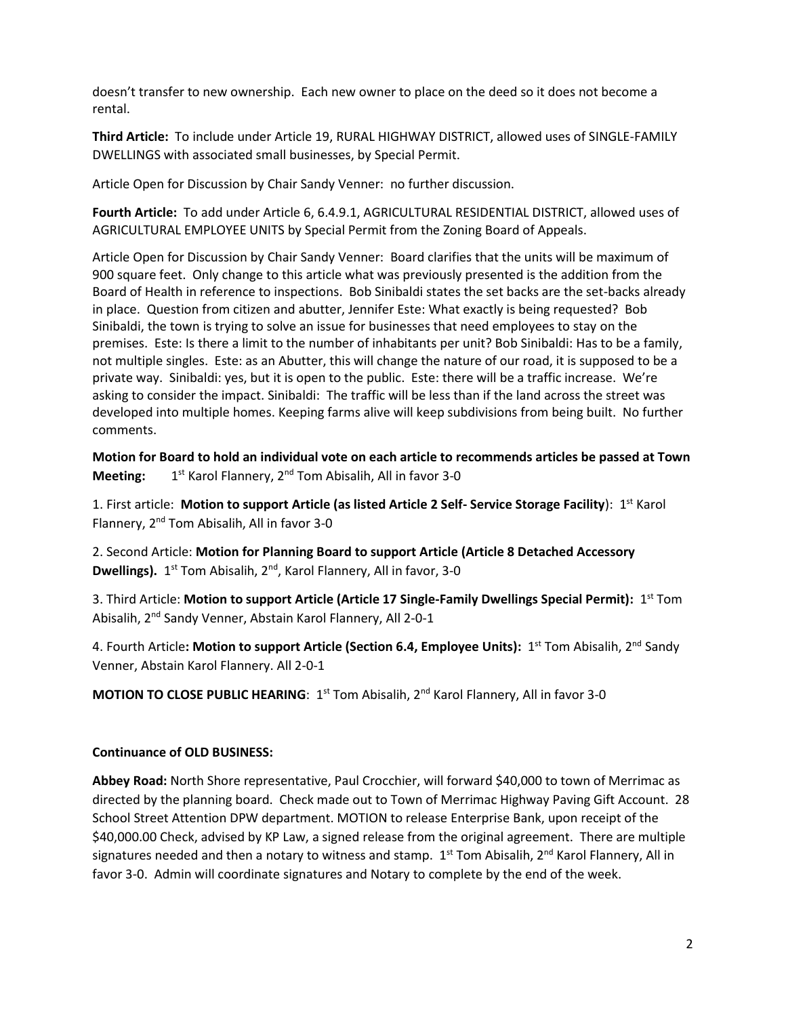doesn't transfer to new ownership. Each new owner to place on the deed so it does not become a rental.

**Third Article:** To include under Article 19, RURAL HIGHWAY DISTRICT, allowed uses of SINGLE-FAMILY DWELLINGS with associated small businesses, by Special Permit.

Article Open for Discussion by Chair Sandy Venner: no further discussion.

**Fourth Article:** To add under Article 6, 6.4.9.1, AGRICULTURAL RESIDENTIAL DISTRICT, allowed uses of AGRICULTURAL EMPLOYEE UNITS by Special Permit from the Zoning Board of Appeals.

Article Open for Discussion by Chair Sandy Venner: Board clarifies that the units will be maximum of 900 square feet. Only change to this article what was previously presented is the addition from the Board of Health in reference to inspections. Bob Sinibaldi states the set backs are the set-backs already in place. Question from citizen and abutter, Jennifer Este: What exactly is being requested? Bob Sinibaldi, the town is trying to solve an issue for businesses that need employees to stay on the premises. Este: Is there a limit to the number of inhabitants per unit? Bob Sinibaldi: Has to be a family, not multiple singles. Este: as an Abutter, this will change the nature of our road, it is supposed to be a private way. Sinibaldi: yes, but it is open to the public. Este: there will be a traffic increase. We're asking to consider the impact. Sinibaldi: The traffic will be less than if the land across the street was developed into multiple homes. Keeping farms alive will keep subdivisions from being built. No further comments.

**Motion for Board to hold an individual vote on each article to recommends articles be passed at Town Meeting:** 1<sup>st</sup> Karol Flannery, 2<sup>nd</sup> Tom Abisalih, All in favor 3-0

1. First article: **Motion to support Article (as listed Article 2 Self- Service Storage Facility**): 1st Karol Flannery, 2nd Tom Abisalih, All in favor 3-0

2. Second Article: **Motion for Planning Board to support Article (Article 8 Detached Accessory Dwellings).** 1<sup>st</sup> Tom Abisalih, 2<sup>nd</sup>, Karol Flannery, All in favor, 3-0

3. Third Article: **Motion to support Article (Article 17 Single-Family Dwellings Special Permit):** 1 st Tom Abisalih, 2nd Sandy Venner, Abstain Karol Flannery, All 2-0-1

4. Fourth Article**: Motion to support Article (Section 6.4, Employee Units):** 1 st Tom Abisalih, 2nd Sandy Venner, Abstain Karol Flannery. All 2-0-1

**MOTION TO CLOSE PUBLIC HEARING: 1st Tom Abisalih, 2<sup>nd</sup> Karol Flannery, All in favor 3-0** 

# **Continuance of OLD BUSINESS:**

**Abbey Road:** North Shore representative, Paul Crocchier, will forward \$40,000 to town of Merrimac as directed by the planning board. Check made out to Town of Merrimac Highway Paving Gift Account. 28 School Street Attention DPW department. MOTION to release Enterprise Bank, upon receipt of the \$40,000.00 Check, advised by KP Law, a signed release from the original agreement. There are multiple signatures needed and then a notary to witness and stamp.  $1^{st}$  Tom Abisalih, 2<sup>nd</sup> Karol Flannery, All in favor 3-0. Admin will coordinate signatures and Notary to complete by the end of the week.